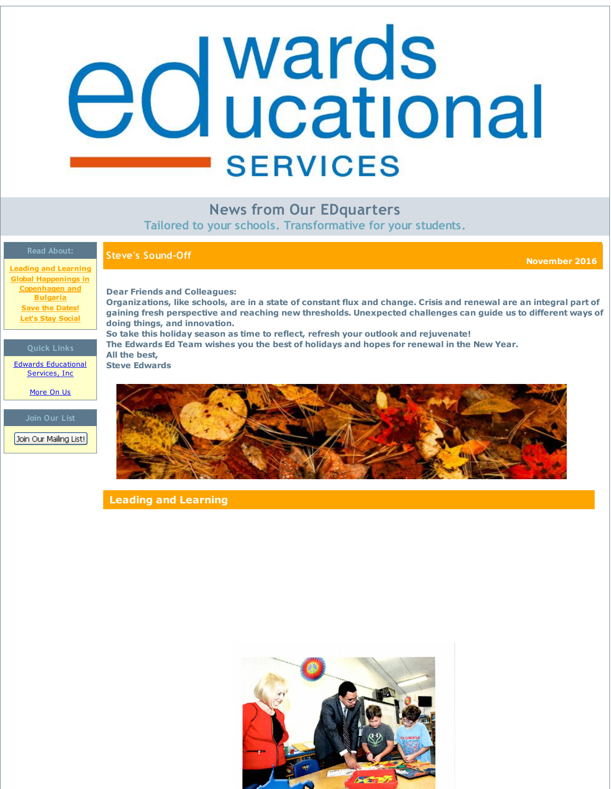# <span id="page-0-0"></span>edwards **SERVICES**

**News from Our EDquarters**

**Tailored to your schools. Transformative for your students.**

**Steve's Sound-Off November <sup>2016</sup>**

**Leading and [Learning](#page-0-0) Global Happenings in [Copenhagen](#page-0-0) and Bulgaria Save the [Dates!](#page-0-0) Let's Stay [Social](#page-0-0)**

## **Quick Links**

Edwards [Educational](http://r20.rs6.net/tn.jsp?f=001fJqttlCjuglWID1yjXTXvQwhpfbBenUXMPx4TuZbIx_0Z6IrEtT1LB3-sO9_oPJl9p2M1cPh3pvYbpMtGMuiudv7TwVYuM_P4Yp-uBqBc2JHLpilYd76Txc18toFlTJXccN-MKhQzvpMIMCeKvZowWZEpEvfteQp4KEKQFzgq5Yed9RyajL9xA==&c=&ch=) Services, Inc

[More](http://r20.rs6.net/tn.jsp?f=001fJqttlCjuglWID1yjXTXvQwhpfbBenUXMPx4TuZbIx_0Z6IrEtT1LIXZg0gM_Z7b38ao6lZ92oQMHP3S972e-tKQAa5zWIddfCruhZXkODvfbWon5Mn-YdtVBnb32GA6nDa3lultDbJsc1DwwskpX1HNO2geXxOX_xzknSSL5q46tjb1bgkX8vLD5ok8Hv0C&c=&ch=) On Us

**Join Our List**

Join Our Mailing List!

**Dear Friends and Colleagues:**

Organizations, like schools, are in a state of constant flux and change. Crisis and renewal are an integral part of **gaining fresh perspective and reaching new thresholds. Unexpected challenges can guide us to different ways of doing things, and innovation. So take this holiday season as time to reflect, refresh your outlook and rejuvenate! The Edwards Ed Team wishes you the best of holidays and hopes for renewal in the New Year.**

**All the best,**





**Leading and Learning**

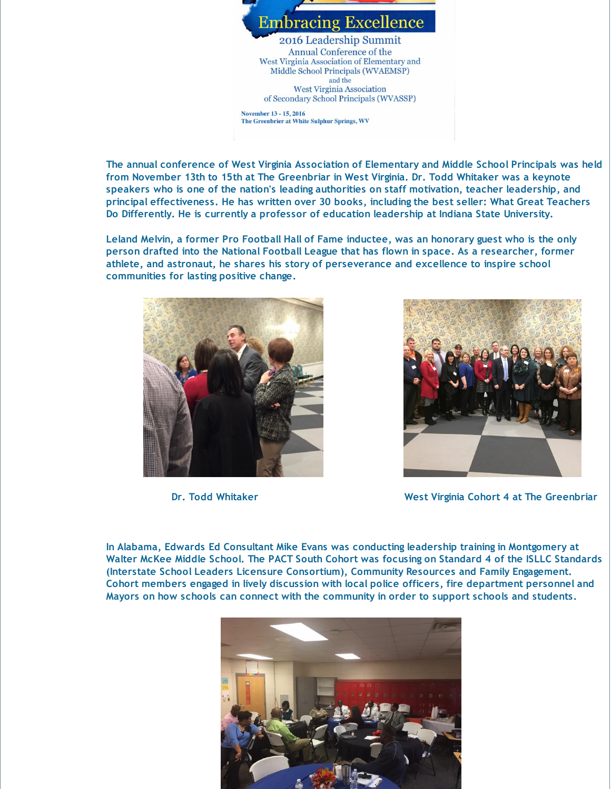

**The annual conference of West Virginia Association of Elementary and Middle School Principals was held from November 13th to 15th at The Greenbriar in West Virginia. Dr. Todd Whitaker was a keynote speakers who is one of the nation's leading authorities on staff motivation, teacher leadership, and principal effectiveness. He has written over 30 books, including the best seller: What Great Teachers Do Differently. He is currently a professor of education leadership at Indiana State University.**

**Leland Melvin, a former Pro Football Hall of Fame inductee, was an honorary guest who is the only person drafted into the National Football League that has flown in space. As a researcher, former athlete, and astronaut, he shares his story of perseverance and excellence to inspire school communities for lasting positive change.**





**Dr. Todd Whitaker West Virginia Cohort 4 at The Greenbriar**

**In Alabama, Edwards Ed Consultant Mike Evans was conducting leadership training in Montgomery at Walter McKee Middle School. The PACT South Cohort was focusing on Standard 4 of the ISLLC Standards (Interstate School Leaders Licensure Consortium), Community Resources and Family Engagement. Cohort members engaged in lively discussion with local police officers, fire department personnel and Mayors on how schools can connect with the community in order to support schools and students.**

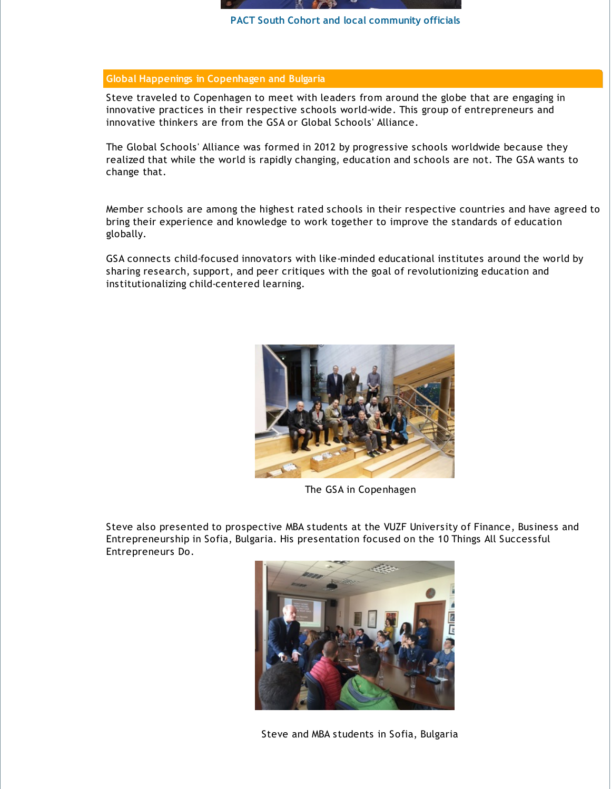

**PACT South Cohort and local community officials**

# **Global Happenings in Copenhagen and Bulgaria**

Steve traveled to Copenhagen to meet with leaders from around the globe that are engaging in innovative practices in their respective schools world-wide. This group of entrepreneurs and innovative thinkers are from the GSA or Global Schools' Alliance.

The Global Schools' Alliance was formed in 2012 by progressive schools worldwide because they realized that while the world is rapidly changing, education and schools are not. The GSA wants to change that.

Member schools are among the highest rated schools in their respective countries and have agreed to bring their experience and knowledge to work together to improve the standards of education globally.

GSA connects child-focused innovators with like-minded educational institutes around the world by sharing research, support, and peer critiques with the goal of revolutionizing education and institutionalizing child-centered learning.



The GSA in Copenhagen

Steve also presented to prospective MBA students at the VUZF University of Finance, Business and Entrepreneurship in Sofia, Bulgaria. His presentation focused on the 10 Things All Successful Entrepreneurs Do.



Steve and MBA students in Sofia, Bulgaria